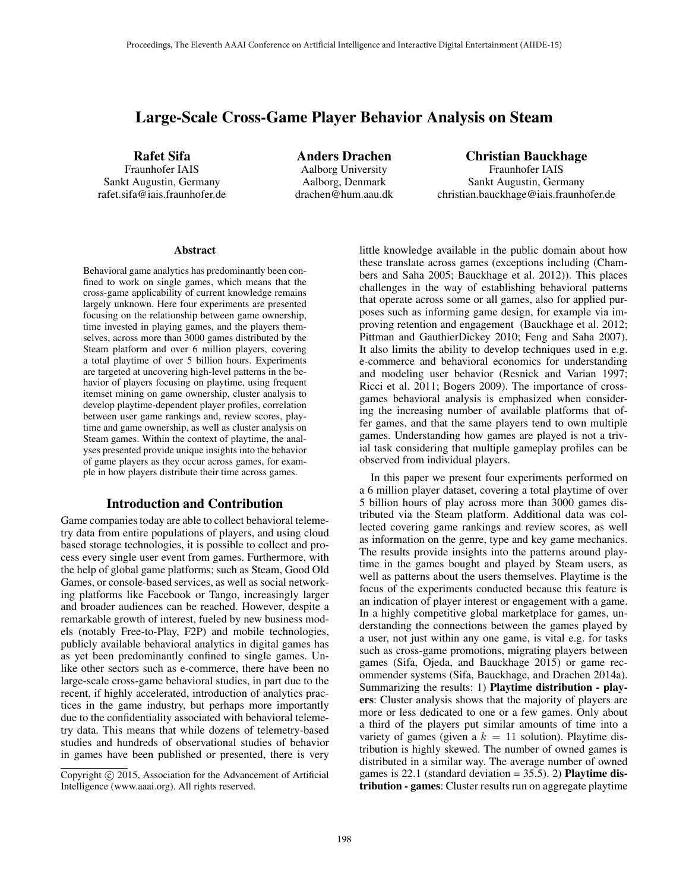# Large-Scale Cross-Game Player Behavior Analysis on Steam

Rafet Sifa

Fraunhofer IAIS Sankt Augustin, Germany rafet.sifa@iais.fraunhofer.de

Anders Drachen Aalborg University Aalborg, Denmark drachen@hum.aau.dk

### Christian Bauckhage Fraunhofer IAIS Sankt Augustin, Germany christian.bauckhage@iais.fraunhofer.de

#### Abstract

Behavioral game analytics has predominantly been confined to work on single games, which means that the cross-game applicability of current knowledge remains largely unknown. Here four experiments are presented focusing on the relationship between game ownership, time invested in playing games, and the players themselves, across more than 3000 games distributed by the Steam platform and over 6 million players, covering a total playtime of over 5 billion hours. Experiments are targeted at uncovering high-level patterns in the behavior of players focusing on playtime, using frequent itemset mining on game ownership, cluster analysis to develop playtime-dependent player profiles, correlation between user game rankings and, review scores, playtime and game ownership, as well as cluster analysis on Steam games. Within the context of playtime, the analyses presented provide unique insights into the behavior of game players as they occur across games, for example in how players distribute their time across games.

# Introduction and Contribution

Game companies today are able to collect behavioral telemetry data from entire populations of players, and using cloud based storage technologies, it is possible to collect and process every single user event from games. Furthermore, with the help of global game platforms; such as Steam, Good Old Games, or console-based services, as well as social networking platforms like Facebook or Tango, increasingly larger and broader audiences can be reached. However, despite a remarkable growth of interest, fueled by new business models (notably Free-to-Play, F2P) and mobile technologies, publicly available behavioral analytics in digital games has as yet been predominantly confined to single games. Unlike other sectors such as e-commerce, there have been no large-scale cross-game behavioral studies, in part due to the recent, if highly accelerated, introduction of analytics practices in the game industry, but perhaps more importantly due to the confidentiality associated with behavioral telemetry data. This means that while dozens of telemetry-based studies and hundreds of observational studies of behavior in games have been published or presented, there is very

little knowledge available in the public domain about how these translate across games (exceptions including (Chambers and Saha 2005; Bauckhage et al. 2012)). This places challenges in the way of establishing behavioral patterns that operate across some or all games, also for applied purposes such as informing game design, for example via improving retention and engagement (Bauckhage et al. 2012; Pittman and GauthierDickey 2010; Feng and Saha 2007). It also limits the ability to develop techniques used in e.g. e-commerce and behavioral economics for understanding and modeling user behavior (Resnick and Varian 1997; Ricci et al. 2011; Bogers 2009). The importance of crossgames behavioral analysis is emphasized when considering the increasing number of available platforms that offer games, and that the same players tend to own multiple games. Understanding how games are played is not a trivial task considering that multiple gameplay profiles can be observed from individual players.

In this paper we present four experiments performed on a 6 million player dataset, covering a total playtime of over 5 billion hours of play across more than 3000 games distributed via the Steam platform. Additional data was collected covering game rankings and review scores, as well as information on the genre, type and key game mechanics. The results provide insights into the patterns around playtime in the games bought and played by Steam users, as well as patterns about the users themselves. Playtime is the focus of the experiments conducted because this feature is an indication of player interest or engagement with a game. In a highly competitive global marketplace for games, understanding the connections between the games played by a user, not just within any one game, is vital e.g. for tasks such as cross-game promotions, migrating players between games (Sifa, Ojeda, and Bauckhage 2015) or game recommender systems (Sifa, Bauckhage, and Drachen 2014a). Summarizing the results: 1) Playtime distribution - players: Cluster analysis shows that the majority of players are more or less dedicated to one or a few games. Only about a third of the players put similar amounts of time into a variety of games (given a  $k = 11$  solution). Playtime distribution is highly skewed. The number of owned games is distributed in a similar way. The average number of owned games is 22.1 (standard deviation  $= 35.5$ ). 2) **Playtime dis**tribution - games: Cluster results run on aggregate playtime

Copyright (c) 2015, Association for the Advancement of Artificial Intelligence (www.aaai.org). All rights reserved.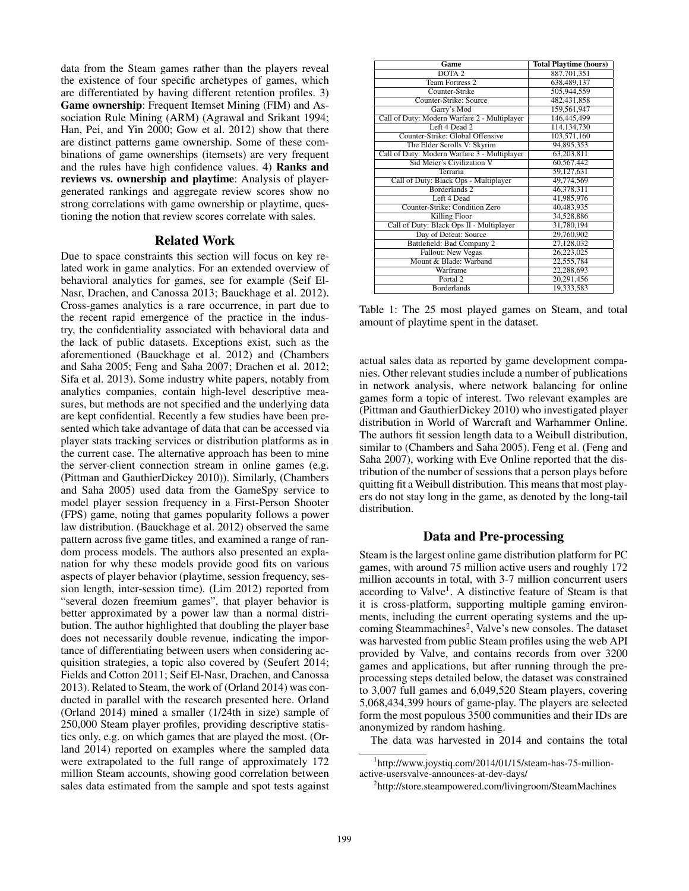data from the Steam games rather than the players reveal the existence of four specific archetypes of games, which are differentiated by having different retention profiles. 3) Game ownership: Frequent Itemset Mining (FIM) and Association Rule Mining (ARM) (Agrawal and Srikant 1994; Han, Pei, and Yin 2000; Gow et al. 2012) show that there are distinct patterns game ownership. Some of these combinations of game ownerships (itemsets) are very frequent and the rules have high confidence values. 4) Ranks and reviews vs. ownership and playtime: Analysis of playergenerated rankings and aggregate review scores show no strong correlations with game ownership or playtime, questioning the notion that review scores correlate with sales.

#### Related Work

Due to space constraints this section will focus on key related work in game analytics. For an extended overview of behavioral analytics for games, see for example (Seif El-Nasr, Drachen, and Canossa 2013; Bauckhage et al. 2012). Cross-games analytics is a rare occurrence, in part due to the recent rapid emergence of the practice in the industry, the confidentiality associated with behavioral data and the lack of public datasets. Exceptions exist, such as the aforementioned (Bauckhage et al. 2012) and (Chambers and Saha 2005; Feng and Saha 2007; Drachen et al. 2012; Sifa et al. 2013). Some industry white papers, notably from analytics companies, contain high-level descriptive measures, but methods are not specified and the underlying data are kept confidential. Recently a few studies have been presented which take advantage of data that can be accessed via player stats tracking services or distribution platforms as in the current case. The alternative approach has been to mine the server-client connection stream in online games (e.g. (Pittman and GauthierDickey 2010)). Similarly, (Chambers and Saha 2005) used data from the GameSpy service to model player session frequency in a First-Person Shooter (FPS) game, noting that games popularity follows a power law distribution. (Bauckhage et al. 2012) observed the same pattern across five game titles, and examined a range of random process models. The authors also presented an explanation for why these models provide good fits on various aspects of player behavior (playtime, session frequency, session length, inter-session time). (Lim 2012) reported from "several dozen freemium games", that player behavior is better approximated by a power law than a normal distribution. The author highlighted that doubling the player base does not necessarily double revenue, indicating the importance of differentiating between users when considering acquisition strategies, a topic also covered by (Seufert 2014; Fields and Cotton 2011; Seif El-Nasr, Drachen, and Canossa 2013). Related to Steam, the work of (Orland 2014) was conducted in parallel with the research presented here. Orland (Orland 2014) mined a smaller (1/24th in size) sample of 250,000 Steam player profiles, providing descriptive statistics only, e.g. on which games that are played the most. (Orland 2014) reported on examples where the sampled data were extrapolated to the full range of approximately 172 million Steam accounts, showing good correlation between sales data estimated from the sample and spot tests against

| Game                                         | <b>Total Playtime (hours)</b> |
|----------------------------------------------|-------------------------------|
| DOTA <sub>2</sub>                            | 887,701,351                   |
| <b>Team Fortress 2</b>                       | 638,489,137                   |
| Counter-Strike                               | 505,944,559                   |
| Counter-Strike: Source                       | 482, 431, 858                 |
| Garry's Mod                                  | 159,561,947                   |
| Call of Duty: Modern Warfare 2 - Multiplayer | 146,445,499                   |
| Left 4 Dead 2                                | 114, 134, 730                 |
| Counter-Strike: Global Offensive             | 103,571,160                   |
| The Elder Scrolls V: Skyrim                  | 94,895,353                    |
| Call of Duty: Modern Warfare 3 - Multiplayer | 63,203,811                    |
| Sid Meier's Civilization V                   | 60,567,442                    |
| Terraria                                     | 59,127,631                    |
| Call of Duty: Black Ops - Multiplayer        | 49,774,569                    |
| Borderlands <sub>2</sub>                     | 46,378,311                    |
| Left 4 Dead                                  | 41,985,976                    |
| Counter-Strike: Condition Zero               | 40,483,935                    |
| <b>Killing Floor</b>                         | 34,528,886                    |
| Call of Duty: Black Ops II - Multiplayer     | 31,780,194                    |
| Day of Defeat: Source                        | 29,760,902                    |
| Battlefield: Bad Company 2                   | 27,128,032                    |
| Fallout: New Vegas                           | 26,223,025                    |
| Mount & Blade: Warband                       | 22,555,784                    |
| Warframe                                     | 22,288,693                    |
| Portal <sub>2</sub>                          | 20,291,456                    |
| <b>Borderlands</b>                           | 19,333,583                    |

Table 1: The 25 most played games on Steam, and total amount of playtime spent in the dataset.

actual sales data as reported by game development companies. Other relevant studies include a number of publications in network analysis, where network balancing for online games form a topic of interest. Two relevant examples are (Pittman and GauthierDickey 2010) who investigated player distribution in World of Warcraft and Warhammer Online. The authors fit session length data to a Weibull distribution, similar to (Chambers and Saha 2005). Feng et al. (Feng and Saha 2007), working with Eve Online reported that the distribution of the number of sessions that a person plays before quitting fit a Weibull distribution. This means that most players do not stay long in the game, as denoted by the long-tail distribution.

#### Data and Pre-processing

Steam is the largest online game distribution platform for PC games, with around 75 million active users and roughly 172 million accounts in total, with 3-7 million concurrent users according to Valve<sup>1</sup>. A distinctive feature of Steam is that it is cross-platform, supporting multiple gaming environments, including the current operating systems and the upcoming Steammachines<sup>2</sup>, Valve's new consoles. The dataset was harvested from public Steam profiles using the web API provided by Valve, and contains records from over 3200 games and applications, but after running through the preprocessing steps detailed below, the dataset was constrained to 3,007 full games and 6,049,520 Steam players, covering 5,068,434,399 hours of game-play. The players are selected form the most populous 3500 communities and their IDs are anonymized by random hashing.

The data was harvested in 2014 and contains the total

<sup>1</sup> http://www.joystiq.com/2014/01/15/steam-has-75-millionactive-usersvalve-announces-at-dev-days/

<sup>&</sup>lt;sup>2</sup>http://store.steampowered.com/livingroom/SteamMachines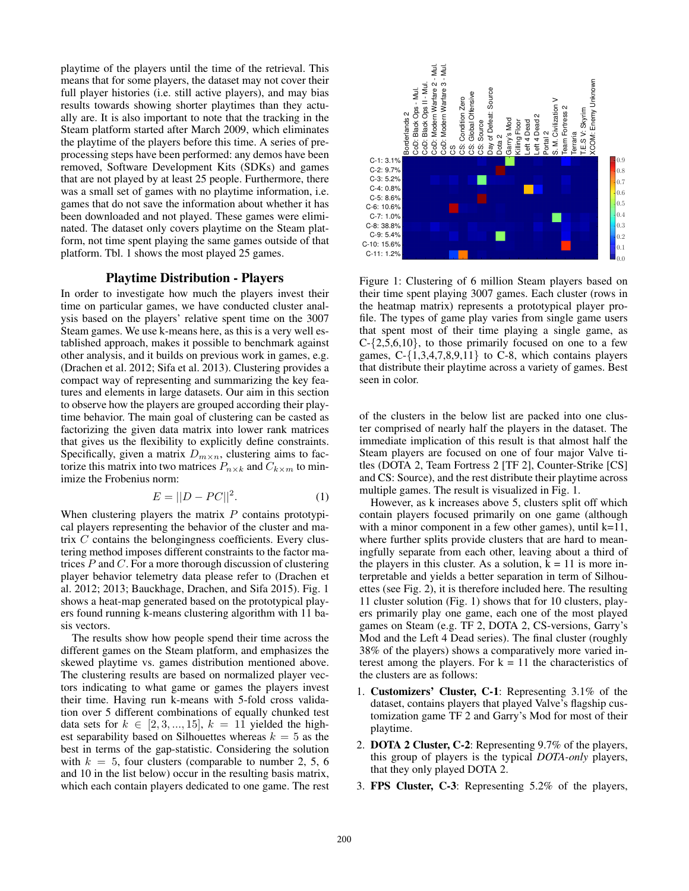playtime of the players until the time of the retrieval. This means that for some players, the dataset may not cover their full player histories (i.e. still active players), and may bias results towards showing shorter playtimes than they actually are. It is also important to note that the tracking in the Steam platform started after March 2009, which eliminates the playtime of the players before this time. A series of preprocessing steps have been performed: any demos have been removed, Software Development Kits (SDKs) and games that are not played by at least 25 people. Furthermore, there was a small set of games with no playtime information, i.e. games that do not save the information about whether it has been downloaded and not played. These games were eliminated. The dataset only covers playtime on the Steam platform, not time spent playing the same games outside of that platform. Tbl. 1 shows the most played 25 games.

### Playtime Distribution - Players

In order to investigate how much the players invest their time on particular games, we have conducted cluster analysis based on the players' relative spent time on the 3007 Steam games. We use k-means here, as this is a very well established approach, makes it possible to benchmark against other analysis, and it builds on previous work in games, e.g. (Drachen et al. 2012; Sifa et al. 2013). Clustering provides a compact way of representing and summarizing the key features and elements in large datasets. Our aim in this section to observe how the players are grouped according their playtime behavior. The main goal of clustering can be casted as factorizing the given data matrix into lower rank matrices that gives us the flexibility to explicitly define constraints. Specifically, given a matrix  $D_{m \times n}$ , clustering aims to factorize this matrix into two matrices  $P_{n \times k}$  and  $C_{k \times m}$  to minimize the Frobenius norm: players dedicated to the players dedicated to one game. The rest Borderlands 2 Contains a contains of the rest Borderlands and the rest Borderlands and the rest Borderlands and the rest Borderlands 2 Conserved to the rest

$$
E = ||D - PC||^2.
$$
 (1)

When clustering players the matrix  $P$  contains prototypical players representing the behavior of the cluster and matrix C contains the belongingness coefficients. Every clustering method imposes different constraints to the factor matrices  $P$  and  $C$ . For a more thorough discussion of clustering player behavior telemetry data please refer to (Drachen et al. 2012; 2013; Bauckhage, Drachen, and Sifa 2015). Fig. 1 shows a heat-map generated based on the prototypical players found running k-means clustering algorithm with 11 basis vectors.

The results show how people spend their time across the different games on the Steam platform, and emphasizes the skewed playtime vs. games distribution mentioned above. The clustering results are based on normalized player vectors indicating to what game or games the players invest their time. Having run k-means with 5-fold cross validation over 5 different combinations of equally chunked test data sets for  $k \in [2, 3, ..., 15]$ ,  $k = 11$  yielded the highest separability based on Silhouettes whereas  $k = 5$  as the best in terms of the gap-statistic. Considering the solution with  $k = 5$ , four clusters (comparable to number 2, 5, 6 and 10 in the list below) occur in the resulting basis matrix,



Figure 1: Clustering of 6 million Steam players based on their time spent playing 3007 games. Each cluster (rows in the heatmap matrix) represents a prototypical player profile. The types of game play varies from single game users that spent most of their time playing a single game, as  $C - \{2, 5, 6, 10\}$ , to those primarily focused on one to a few games,  $C - \{1,3,4,7,8,9,11\}$  to  $C - 8$ , which contains players that distribute their playtime across a variety of games. Best seen in color.

of the clusters in the below list are packed into one cluster comprised of nearly half the players in the dataset. The immediate implication of this result is that almost half the Steam players are focused on one of four major Valve titles (DOTA 2, Team Fortress 2 [TF 2], Counter-Strike [CS] and CS: Source), and the rest distribute their playtime across multiple games. The result is visualized in Fig. 1.

However, as k increases above 5, clusters split off which contain players focused primarily on one game (although with a minor component in a few other games), until  $k=11$ , where further splits provide clusters that are hard to meaningfully separate from each other, leaving about a third of the players in this cluster. As a solution,  $k = 11$  is more interpretable and yields a better separation in term of Silhouettes (see Fig. 2), it is therefore included here. The resulting 11 cluster solution (Fig. 1) shows that for 10 clusters, players primarily play one game, each one of the most played games on Steam (e.g. TF 2, DOTA 2, CS-versions, Garry's Mod and the Left 4 Dead series). The final cluster (roughly 38% of the players) shows a comparatively more varied interest among the players. For  $k = 11$  the characteristics of the clusters are as follows:

- 1. Customizers' Cluster, C-1: Representing 3.1% of the dataset, contains players that played Valve's flagship customization game TF 2 and Garry's Mod for most of their playtime.
- 2. DOTA 2 Cluster, C-2: Representing 9.7% of the players, this group of players is the typical *DOTA-only* players, that they only played DOTA 2.
- 3. FPS Cluster, C-3: Representing 5.2% of the players,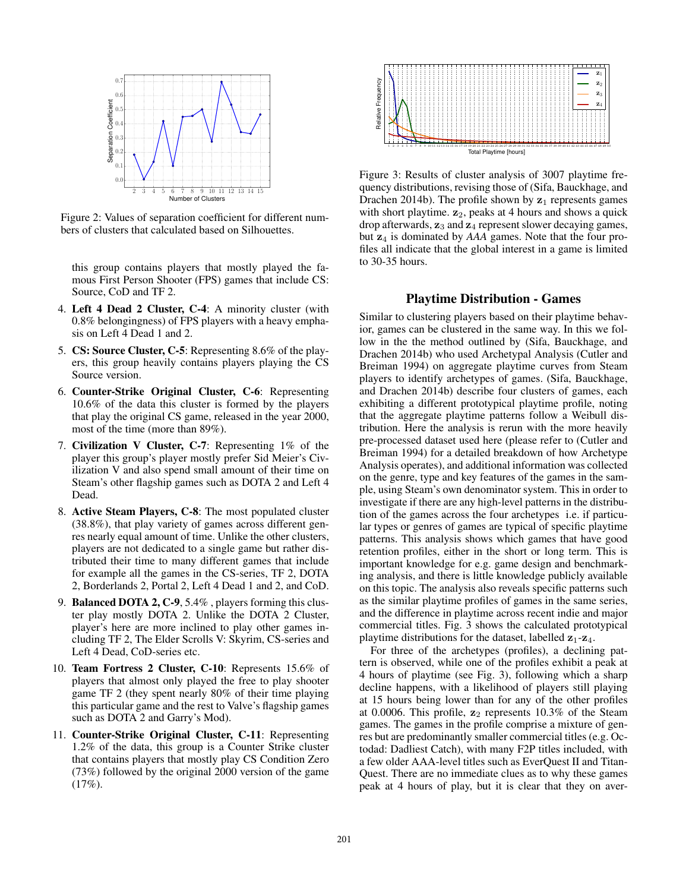

Figure 2: Values of separation coefficient for different numbers of clusters that calculated based on Silhouettes.

this group contains players that mostly played the famous First Person Shooter (FPS) games that include CS: Source, CoD and TF 2.

- 4. Left 4 Dead 2 Cluster, C-4: A minority cluster (with 0.8% belongingness) of FPS players with a heavy emphasis on Left 4 Dead 1 and 2.
- 5. CS: Source Cluster, C-5: Representing 8.6% of the players, this group heavily contains players playing the CS Source version.
- 6. Counter-Strike Original Cluster, C-6: Representing 10.6% of the data this cluster is formed by the players that play the original CS game, released in the year 2000, most of the time (more than 89%).
- 7. Civilization V Cluster, C-7: Representing 1% of the player this group's player mostly prefer Sid Meier's Civilization V and also spend small amount of their time on Steam's other flagship games such as DOTA 2 and Left 4 Dead.
- 8. Active Steam Players, C-8: The most populated cluster (38.8%), that play variety of games across different genres nearly equal amount of time. Unlike the other clusters, players are not dedicated to a single game but rather distributed their time to many different games that include for example all the games in the CS-series, TF 2, DOTA 2, Borderlands 2, Portal 2, Left 4 Dead 1 and 2, and CoD.
- 9. Balanced DOTA 2, C-9, 5.4% , players forming this cluster play mostly DOTA 2. Unlike the DOTA 2 Cluster, player's here are more inclined to play other games including TF 2, The Elder Scrolls V: Skyrim, CS-series and Left 4 Dead, CoD-series etc.
- 10. Team Fortress 2 Cluster, C-10: Represents 15.6% of players that almost only played the free to play shooter game TF 2 (they spent nearly 80% of their time playing this particular game and the rest to Valve's flagship games such as DOTA 2 and Garry's Mod).
- 11. Counter-Strike Original Cluster, C-11: Representing 1.2% of the data, this group is a Counter Strike cluster that contains players that mostly play CS Condition Zero (73%) followed by the original 2000 version of the game  $(17\%).$



Figure 3: Results of cluster analysis of 3007 playtime frequency distributions, revising those of (Sifa, Bauckhage, and Drachen 2014b). The profile shown by  $z_1$  represents games with short playtime.  $z_2$ , peaks at 4 hours and shows a quick drop afterwards,  $z_3$  and  $z_4$  represent slower decaying games, but  $z_4$  is dominated by *AAA* games. Note that the four profiles all indicate that the global interest in a game is limited to 30-35 hours.

#### Playtime Distribution - Games

Similar to clustering players based on their playtime behavior, games can be clustered in the same way. In this we follow in the the method outlined by (Sifa, Bauckhage, and Drachen 2014b) who used Archetypal Analysis (Cutler and Breiman 1994) on aggregate playtime curves from Steam players to identify archetypes of games. (Sifa, Bauckhage, and Drachen 2014b) describe four clusters of games, each exhibiting a different prototypical playtime profile, noting that the aggregate playtime patterns follow a Weibull distribution. Here the analysis is rerun with the more heavily pre-processed dataset used here (please refer to (Cutler and Breiman 1994) for a detailed breakdown of how Archetype Analysis operates), and additional information was collected on the genre, type and key features of the games in the sample, using Steam's own denominator system. This in order to investigate if there are any high-level patterns in the distribution of the games across the four archetypes i.e. if particular types or genres of games are typical of specific playtime patterns. This analysis shows which games that have good retention profiles, either in the short or long term. This is important knowledge for e.g. game design and benchmarking analysis, and there is little knowledge publicly available on this topic. The analysis also reveals specific patterns such as the similar playtime profiles of games in the same series, and the difference in playtime across recent indie and major commercial titles. Fig. 3 shows the calculated prototypical playtime distributions for the dataset, labelled  $z_1-z_4$ .

For three of the archetypes (profiles), a declining pattern is observed, while one of the profiles exhibit a peak at 4 hours of playtime (see Fig. 3), following which a sharp decline happens, with a likelihood of players still playing at 15 hours being lower than for any of the other profiles at 0.0006. This profile,  $z_2$  represents 10.3% of the Steam games. The games in the profile comprise a mixture of genres but are predominantly smaller commercial titles (e.g. Octodad: Dadliest Catch), with many F2P titles included, with a few older AAA-level titles such as EverQuest II and Titan-Quest. There are no immediate clues as to why these games peak at 4 hours of play, but it is clear that they on aver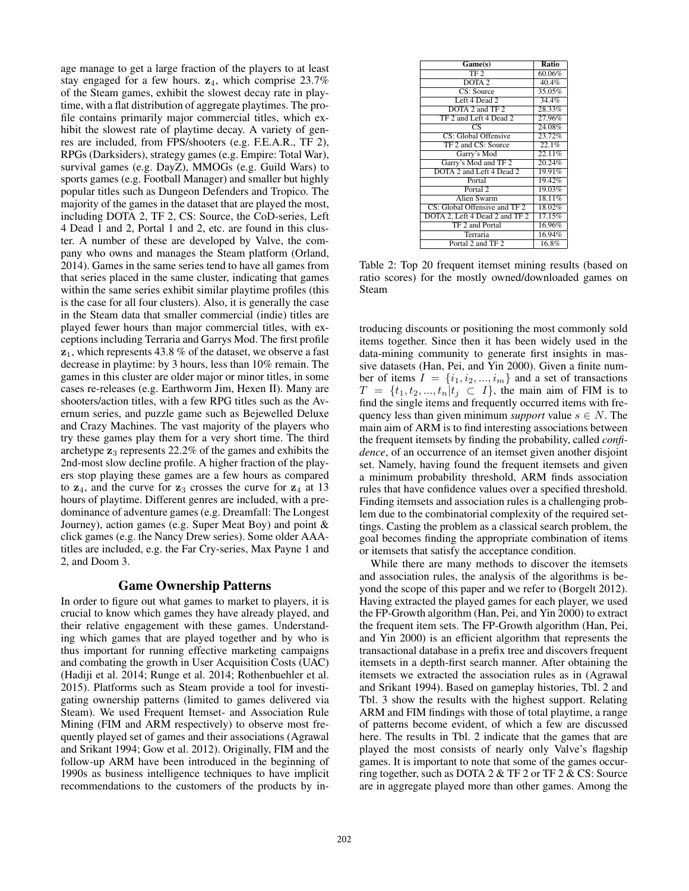age manage to get a large fraction of the players to at least stay engaged for a few hours.  $z_4$ , which comprise 23.7% of the Steam games, exhibit the slowest decay rate in playtime, with a flat distribution of aggregate playtimes. The profile contains primarily major commercial titles, which exhibit the slowest rate of playtime decay. A variety of genres are included, from FPS/shooters (e.g. F.E.A.R., TF 2), RPGs (Darksiders), strategy games (e.g. Empire: Total War), survival games (e.g. DayZ), MMOGs (e.g. Guild Wars) to sports games (e.g. Football Manager) and smaller but highly popular titles such as Dungeon Defenders and Tropico. The majority of the games in the dataset that are played the most, including DOTA 2, TF 2, CS: Source, the CoD-series, Left 4 Dead 1 and 2, Portal 1 and 2, etc. are found in this cluster. A number of these are developed by Valve, the company who owns and manages the Steam platform (Orland, 2014). Games in the same series tend to have all games from that series placed in the same cluster, indicating that games within the same series exhibit similar playtime profiles (this is the case for all four clusters). Also, it is generally the case in the Steam data that smaller commercial (indie) titles are played fewer hours than major commercial titles, with exceptions including Terraria and Garrys Mod. The first profile  $z_1$ , which represents 43.8 % of the dataset, we observe a fast decrease in playtime: by 3 hours, less than 10% remain. The games in this cluster are older major or minor titles, in some cases re-releases (e.g. Earthworm Jim, Hexen II). Many are shooters/action titles, with a few RPG titles such as the Avernum series, and puzzle game such as Bejewelled Deluxe and Crazy Machines. The vast majority of the players who try these games play them for a very short time. The third archetype  $z_3$  represents 22.2% of the games and exhibits the 2nd-most slow decline profile. A higher fraction of the players stop playing these games are a few hours as compared to  $z_4$ , and the curve for  $z_3$  crosses the curve for  $z_4$  at 13 hours of playtime. Different genres are included, with a predominance of adventure games (e.g. Dreamfall: The Longest Journey), action games (e.g. Super Meat Boy) and point & click games (e.g. the Nancy Drew series). Some older AAAtitles are included, e.g. the Far Cry-series, Max Payne 1 and 2, and Doom 3.

### Game Ownership Patterns

In order to figure out what games to market to players, it is crucial to know which games they have already played, and their relative engagement with these games. Understanding which games that are played together and by who is thus important for running effective marketing campaigns and combating the growth in User Acquisition Costs (UAC) (Hadiji et al. 2014; Runge et al. 2014; Rothenbuehler et al. 2015). Platforms such as Steam provide a tool for investigating ownership patterns (limited to games delivered via Steam). We used Frequent Itemset- and Association Rule Mining (FIM and ARM respectively) to observe most frequently played set of games and their associations (Agrawal and Srikant 1994; Gow et al. 2012). Originally, FIM and the follow-up ARM have been introduced in the beginning of 1990s as business intelligence techniques to have implicit recommendations to the customers of the products by in-

| Game(s)                        | <b>Ratio</b> |
|--------------------------------|--------------|
| TF <sub>2</sub>                | 60.06%       |
| DOTA <sub>2</sub>              | 40.4%        |
| CS: Source                     | 35.05%       |
| Left 4 Dead 2                  | 34.4%        |
| DOTA 2 and TF 2                | 28.33%       |
| TF 2 and Left 4 Dead 2         | 27.96%       |
| CS                             | 24.08%       |
| CS: Global Offensive           | 23.72%       |
| TF 2 and CS: Source            | 22.1%        |
| Garry's Mod                    | 22.11%       |
| Garry's Mod and TF 2           | 20.24%       |
| DOTA 2 and Left 4 Dead 2       | 19.91%       |
| Portal                         | 19.42%       |
| Portal <sub>2</sub>            | 19.03%       |
| Alien Swarm                    | 18.11%       |
| CS: Global Offensive and TF 2  | 18.02%       |
| DOTA 2, Left 4 Dead 2 and TF 2 | 17.15%       |
| TF 2 and Portal                | 16.96%       |
| Terraria                       | 16.94%       |
| Portal 2 and TF 2              | 16.8%        |

Table 2: Top 20 frequent itemset mining results (based on ratio scores) for the mostly owned/downloaded games on Steam

troducing discounts or positioning the most commonly sold items together. Since then it has been widely used in the data-mining community to generate first insights in massive datasets (Han, Pei, and Yin 2000). Given a finite number of items  $I = \{i_1, i_2, ..., i_m\}$  and a set of transactions  $T = \{t_1, t_2, ..., t_n | t_i \subset I\}$ , the main aim of FIM is to find the single items and frequently occurred items with frequency less than given minimum *support* value  $s \in N$ . The main aim of ARM is to find interesting associations between the frequent itemsets by finding the probability, called *confidence*, of an occurrence of an itemset given another disjoint set. Namely, having found the frequent itemsets and given a minimum probability threshold, ARM finds association rules that have confidence values over a specified threshold. Finding itemsets and association rules is a challenging problem due to the combinatorial complexity of the required settings. Casting the problem as a classical search problem, the goal becomes finding the appropriate combination of items or itemsets that satisfy the acceptance condition.

While there are many methods to discover the itemsets and association rules, the analysis of the algorithms is beyond the scope of this paper and we refer to (Borgelt 2012). Having extracted the played games for each player, we used the FP-Growth algorithm (Han, Pei, and Yin 2000) to extract the frequent item sets. The FP-Growth algorithm (Han, Pei, and Yin 2000) is an efficient algorithm that represents the transactional database in a prefix tree and discovers frequent itemsets in a depth-first search manner. After obtaining the itemsets we extracted the association rules as in (Agrawal and Srikant 1994). Based on gameplay histories, Tbl. 2 and Tbl. 3 show the results with the highest support. Relating ARM and FIM findings with those of total playtime, a range of patterns become evident, of which a few are discussed here. The results in Tbl. 2 indicate that the games that are played the most consists of nearly only Valve's flagship games. It is important to note that some of the games occurring together, such as DOTA 2 & TF 2 or TF 2 & CS: Source are in aggregate played more than other games. Among the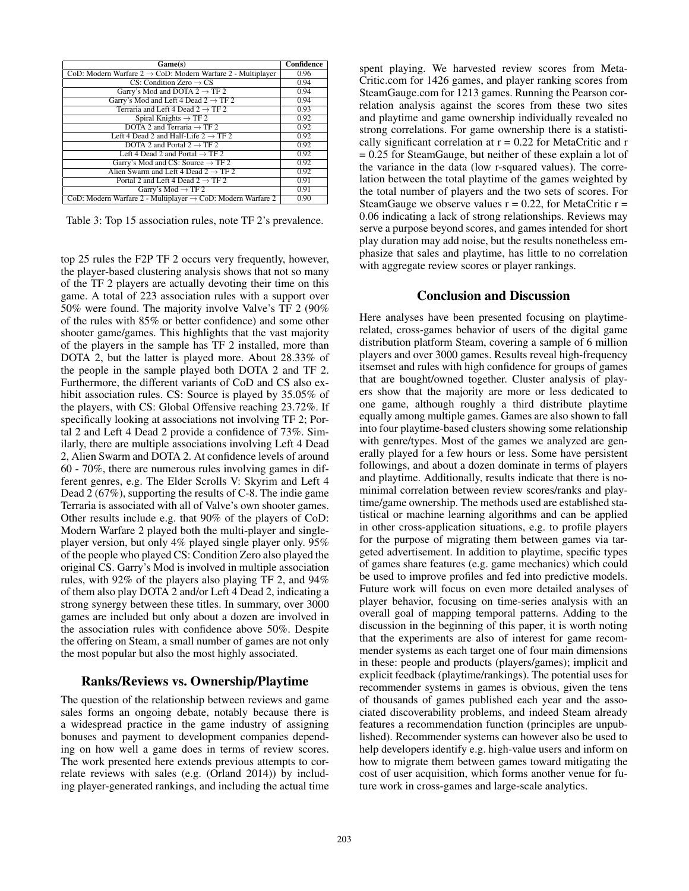| Game(s)                                                                 | <b>Confidence</b> |
|-------------------------------------------------------------------------|-------------------|
| CoD: Modern Warfare $2 \rightarrow$ CoD: Modern Warfare 2 - Multiplayer | 0.96              |
| $CS:$ Condition Zero $\rightarrow$ CS                                   | 0.94              |
| Garry's Mod and DOTA $2 \rightarrow TF 2$                               | 0.94              |
| Garry's Mod and Left 4 Dead $2 \rightarrow TF 2$                        | 0.94              |
| Terraria and Left 4 Dead $2 \rightarrow TF 2$                           | 0.93              |
| Spiral Knights $\rightarrow$ TF 2                                       | 0.92              |
| DOTA 2 and Terraria $\rightarrow$ TF 2                                  | 0.92              |
| Left 4 Dead 2 and Half-Life $2 \rightarrow TF 2$                        | 0.92              |
| DOTA 2 and Portal $2 \rightarrow \text{TF } 2$                          | 0.92              |
| Left 4 Dead 2 and Portal $\rightarrow$ TF 2                             | 0.92              |
| Garry's Mod and CS: Source $\rightarrow$ TF 2                           | 0.92              |
| Alien Swarm and Left 4 Dead $2 \rightarrow TF 2$                        | 0.92              |
| Portal 2 and Left 4 Dead $2 \rightarrow \text{TF } 2$                   | 0.91              |
| Garry's Mod $\rightarrow$ TF 2                                          | 0.91              |
| CoD: Modern Warfare 2 - Multiplayer $\rightarrow$ CoD: Modern Warfare 2 | 0.90              |

Table 3: Top 15 association rules, note TF 2's prevalence.

top 25 rules the F2P TF 2 occurs very frequently, however, the player-based clustering analysis shows that not so many of the TF 2 players are actually devoting their time on this game. A total of 223 association rules with a support over 50% were found. The majority involve Valve's TF 2 (90% of the rules with 85% or better confidence) and some other shooter game/games. This highlights that the vast majority of the players in the sample has TF 2 installed, more than DOTA 2, but the latter is played more. About 28.33% of the people in the sample played both DOTA 2 and TF 2. Furthermore, the different variants of CoD and CS also exhibit association rules. CS: Source is played by 35.05% of the players, with CS: Global Offensive reaching 23.72%. If specifically looking at associations not involving TF 2; Portal 2 and Left 4 Dead 2 provide a confidence of 73%. Similarly, there are multiple associations involving Left 4 Dead 2, Alien Swarm and DOTA 2. At confidence levels of around 60 - 70%, there are numerous rules involving games in different genres, e.g. The Elder Scrolls V: Skyrim and Left 4 Dead 2 (67%), supporting the results of C-8. The indie game Terraria is associated with all of Valve's own shooter games. Other results include e.g. that 90% of the players of CoD: Modern Warfare 2 played both the multi-player and singleplayer version, but only 4% played single player only. 95% of the people who played CS: Condition Zero also played the original CS. Garry's Mod is involved in multiple association rules, with 92% of the players also playing TF 2, and 94% of them also play DOTA 2 and/or Left 4 Dead 2, indicating a strong synergy between these titles. In summary, over 3000 games are included but only about a dozen are involved in the association rules with confidence above 50%. Despite the offering on Steam, a small number of games are not only the most popular but also the most highly associated.

# Ranks/Reviews vs. Ownership/Playtime

The question of the relationship between reviews and game sales forms an ongoing debate, notably because there is a widespread practice in the game industry of assigning bonuses and payment to development companies depending on how well a game does in terms of review scores. The work presented here extends previous attempts to correlate reviews with sales (e.g. (Orland 2014)) by including player-generated rankings, and including the actual time

spent playing. We harvested review scores from Meta-Critic.com for 1426 games, and player ranking scores from SteamGauge.com for 1213 games. Running the Pearson correlation analysis against the scores from these two sites and playtime and game ownership individually revealed no strong correlations. For game ownership there is a statistically significant correlation at  $r = 0.22$  for MetaCritic and r = 0.25 for SteamGauge, but neither of these explain a lot of the variance in the data (low r-squared values). The correlation between the total playtime of the games weighted by the total number of players and the two sets of scores. For SteamGauge we observe values  $r = 0.22$ , for MetaCritic  $r =$ 0.06 indicating a lack of strong relationships. Reviews may serve a purpose beyond scores, and games intended for short play duration may add noise, but the results nonetheless emphasize that sales and playtime, has little to no correlation with aggregate review scores or player rankings.

# Conclusion and Discussion

Here analyses have been presented focusing on playtimerelated, cross-games behavior of users of the digital game distribution platform Steam, covering a sample of 6 million players and over 3000 games. Results reveal high-frequency itsemset and rules with high confidence for groups of games that are bought/owned together. Cluster analysis of players show that the majority are more or less dedicated to one game, although roughly a third distribute playtime equally among multiple games. Games are also shown to fall into four playtime-based clusters showing some relationship with genre/types. Most of the games we analyzed are generally played for a few hours or less. Some have persistent followings, and about a dozen dominate in terms of players and playtime. Additionally, results indicate that there is nominimal correlation between review scores/ranks and playtime/game ownership. The methods used are established statistical or machine learning algorithms and can be applied in other cross-application situations, e.g. to profile players for the purpose of migrating them between games via targeted advertisement. In addition to playtime, specific types of games share features (e.g. game mechanics) which could be used to improve profiles and fed into predictive models. Future work will focus on even more detailed analyses of player behavior, focusing on time-series analysis with an overall goal of mapping temporal patterns. Adding to the discussion in the beginning of this paper, it is worth noting that the experiments are also of interest for game recommender systems as each target one of four main dimensions in these: people and products (players/games); implicit and explicit feedback (playtime/rankings). The potential uses for recommender systems in games is obvious, given the tens of thousands of games published each year and the associated discoverability problems, and indeed Steam already features a recommendation function (principles are unpublished). Recommender systems can however also be used to help developers identify e.g. high-value users and inform on how to migrate them between games toward mitigating the cost of user acquisition, which forms another venue for future work in cross-games and large-scale analytics.